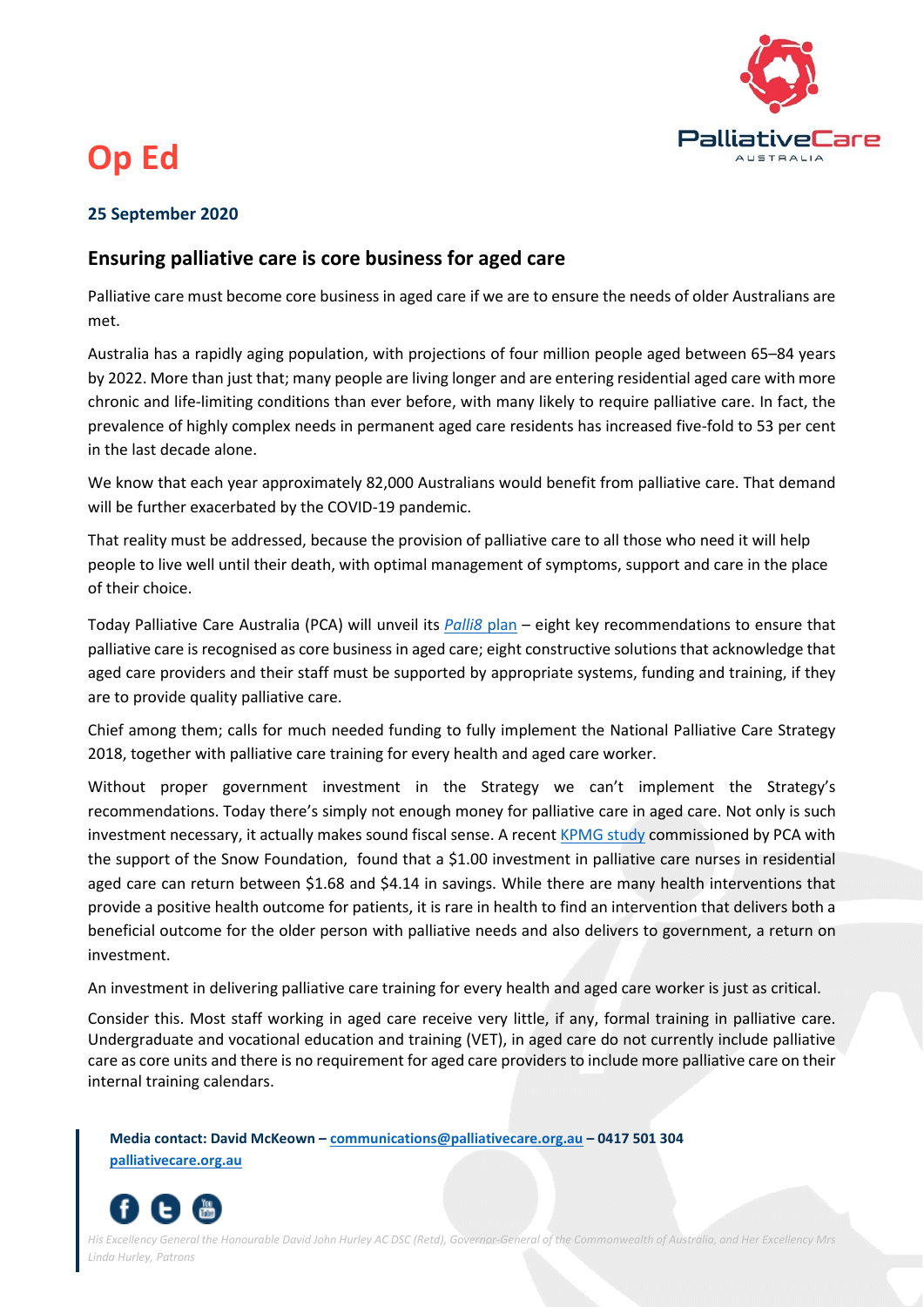

## **Op Ed**

## **25 September 2020**

## **Ensuring palliative care is core business for aged care**

Palliative care must become core business in aged care if we are to ensure the needs of older Australians are met.

Australia has a rapidly aging population, with projections of four million people aged between 65–84 years by 2022. More than just that; many people are living longer and are entering residential aged care with more chronic and life-limiting conditions than ever before, with many likely to require palliative care. In fact, the prevalence of highly complex needs in permanent aged care residents has increased five-fold to 53 per cent in the last decade alone.

We know that each year approximately 82,000 Australians would benefit from palliative care. That demand will be further exacerbated by the COVID-19 pandemic.

That reality must be addressed, because the provision of palliative care to all those who need it will help people to live well until their death, with optimal management of symptoms, support and care in the place of their choice.

Today Palliative Care Australia (PCA) will unveil its *[Palli8](https://palliativecare.org.au/palli8-core-business-in-aged-care)* plan – eight key recommendations to ensure that palliative care is recognised as core business in aged care; eight constructive solutions that acknowledge that aged care providers and their staff must be supported by appropriate systems, funding and training, if they are to provide quality palliative care.

Chief among them; calls for much needed funding to fully implement the National Palliative Care Strategy 2018, together with palliative care training for every health and aged care worker.

Without proper government investment in the Strategy we can't implement the Strategy's recommendations. Today there's simply not enough money for palliative care in aged care. Not only is such investment necessary, it actually makes sound fiscal sense. A recent [KPMG study](https://palliativecare.org.au/kpmg-palliativecare-economic-report) commissioned by PCA with the support of the Snow Foundation, found that a \$1.00 investment in palliative care nurses in residential aged care can return between \$1.68 and \$4.14 in savings. While there are many health interventions that provide a positive health outcome for patients, it is rare in health to find an intervention that delivers both a beneficial outcome for the older person with palliative needs and also delivers to government, a return on investment.

An investment in delivering palliative care training for every health and aged care worker is just as critical.

Consider this. Most staff working in aged care receive very little, if any, formal training in palliative care. Undergraduate and vocational education and training (VET), in aged care do not currently include palliative care as core units and there is no requirement for aged care providers to include more palliative care on their internal training calendars.

**Media contact: David McKeown – [communications@palliativecare.org.au](mailto:communications@palliativecare.org.au) – 0417 501 304 [palliativecare.org.au](http://www.palliativecare.org.au/)**



*His Excellency General the Honourable David John Hurley AC DSC (Retd), Governor-General of the Commonwealth of Australia, and Her Excellency Mrs Linda Hurley, Patrons*